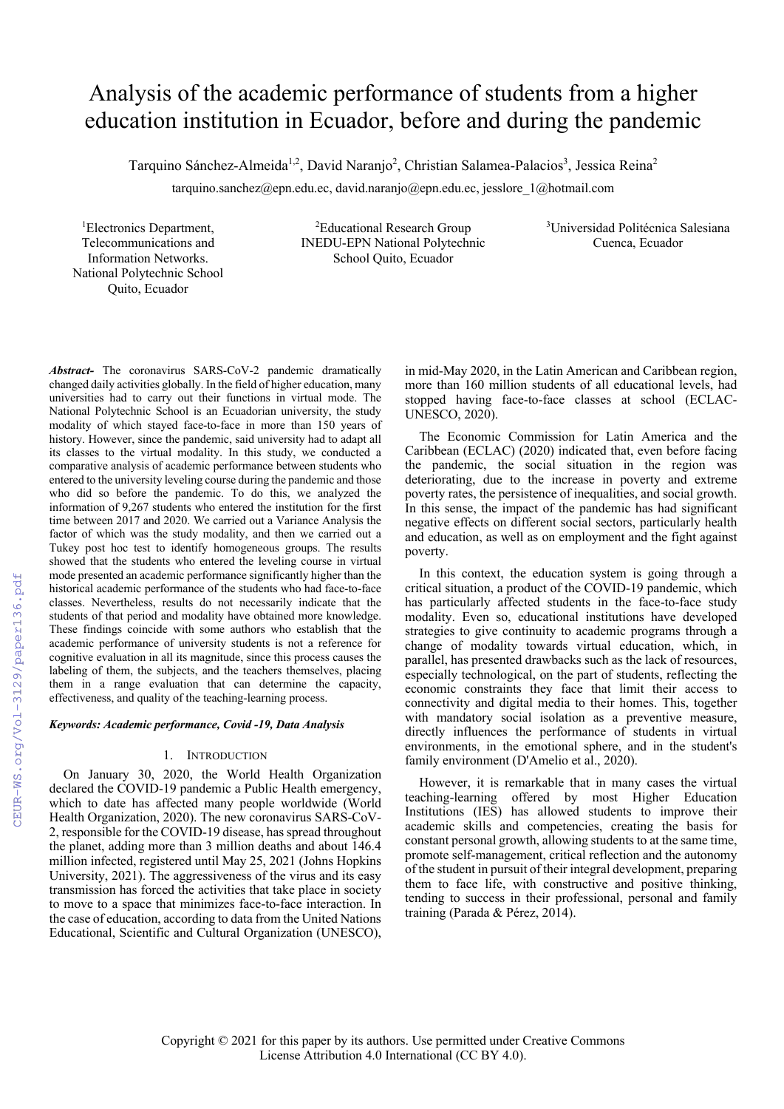# Analysis of the academic performance of students from a higher education institution in Ecuador, before and during the pandemic

Tarquino Sánchez-Almeida<sup>1,2</sup>, David Naranjo<sup>2</sup>, Christian Salamea-Palacios<sup>3</sup>, Jessica Reina<sup>2</sup>

tarquino.sanchez@epn.edu.ec, david.naranjo@epn.edu.ec, jesslore\_1@hotmail.com

1 Electronics Department, Telecommunications and Information Networks. National Polytechnic School Quito, Ecuador

<sup>2</sup>Educational Research Group INEDU-EPN National Polytechnic School Quito, Ecuador

3 Universidad Politécnica Salesiana Cuenca, Ecuador

*Abstract-* The coronavirus SARS-CoV-2 pandemic dramatically changed daily activities globally. In the field of higher education, many universities had to carry out their functions in virtual mode. The National Polytechnic School is an Ecuadorian university, the study modality of which stayed face-to-face in more than 150 years of history. However, since the pandemic, said university had to adapt all its classes to the virtual modality. In this study, we conducted a comparative analysis of academic performance between students who entered to the university leveling course during the pandemic and those who did so before the pandemic. To do this, we analyzed the information of 9,267 students who entered the institution for the first time between 2017 and 2020. We carried out a Variance Analysis the factor of which was the study modality, and then we carried out a Tukey post hoc test to identify homogeneous groups. The results showed that the students who entered the leveling course in virtual mode presented an academic performance significantly higher than the historical academic performance of the students who had face-to-face classes. Nevertheless, results do not necessarily indicate that the students of that period and modality have obtained more knowledge. These findings coincide with some authors who establish that the academic performance of university students is not a reference for cognitive evaluation in all its magnitude, since this process causes the labeling of them, the subjects, and the teachers themselves, placing them in a range evaluation that can determine the capacity, effectiveness, and quality of the teaching-learning process.

# *Keywords: Academic performance, Covid -19, Data Analysis*

## 1. INTRODUCTION

On January 30, 2020, the World Health Organization declared the COVID-19 pandemic a Public Health emergency, which to date has affected many people worldwide (World Health Organization, 2020). The new coronavirus SARS-CoV-2, responsible for the COVID-19 disease, has spread throughout the planet, adding more than 3 million deaths and about 146.4 million infected, registered until May 25, 2021 (Johns Hopkins University, 2021). The aggressiveness of the virus and its easy transmission has forced the activities that take place in society to move to a space that minimizes face-to-face interaction. In the case of education, according to data from the United Nations Educational, Scientific and Cultural Organization (UNESCO), in mid-May 2020, in the Latin American and Caribbean region, more than 160 million students of all educational levels, had stopped having face-to-face classes at school (ECLAC-UNESCO, 2020).

The Economic Commission for Latin America and the Caribbean (ECLAC) (2020) indicated that, even before facing the pandemic, the social situation in the region was deteriorating, due to the increase in poverty and extreme poverty rates, the persistence of inequalities, and social growth. In this sense, the impact of the pandemic has had significant negative effects on different social sectors, particularly health and education, as well as on employment and the fight against poverty.

In this context, the education system is going through a critical situation, a product of the COVID-19 pandemic, which has particularly affected students in the face-to-face study modality. Even so, educational institutions have developed strategies to give continuity to academic programs through a change of modality towards virtual education, which, in parallel, has presented drawbacks such as the lack of resources, especially technological, on the part of students, reflecting the economic constraints they face that limit their access to connectivity and digital media to their homes. This, together with mandatory social isolation as a preventive measure, directly influences the performance of students in virtual environments, in the emotional sphere, and in the student's family environment (D'Amelio et al., 2020).

However, it is remarkable that in many cases the virtual teaching-learning offered by most Higher Education Institutions (IES) has allowed students to improve their academic skills and competencies, creating the basis for constant personal growth, allowing students to at the same time, promote self-management, critical reflection and the autonomy of the student in pursuit of their integral development, preparing them to face life, with constructive and positive thinking, tending to success in their professional, personal and family training (Parada & Pérez, 2014).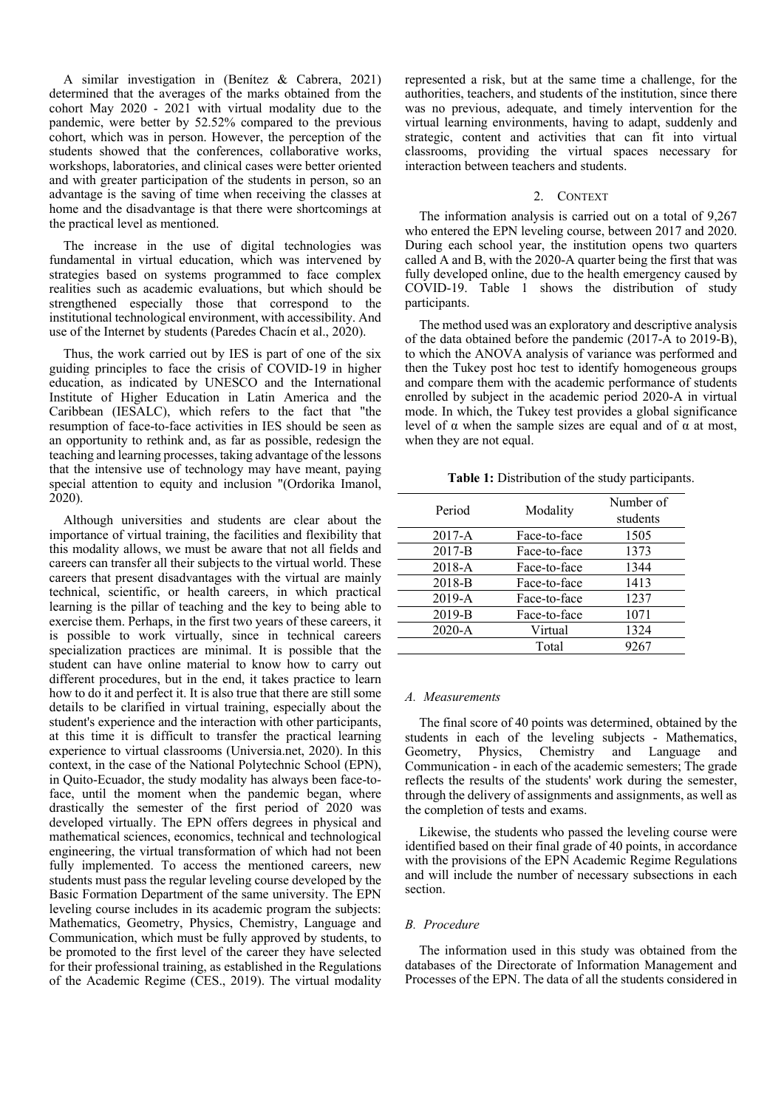A similar investigation in (Benítez & Cabrera, 2021) determined that the averages of the marks obtained from the cohort May 2020 - 2021 with virtual modality due to the pandemic, were better by 52.52% compared to the previous cohort, which was in person. However, the perception of the students showed that the conferences, collaborative works, workshops, laboratories, and clinical cases were better oriented and with greater participation of the students in person, so an advantage is the saving of time when receiving the classes at home and the disadvantage is that there were shortcomings at the practical level as mentioned.

The increase in the use of digital technologies was fundamental in virtual education, which was intervened by strategies based on systems programmed to face complex realities such as academic evaluations, but which should be strengthened especially those that correspond to the institutional technological environment, with accessibility. And use of the Internet by students (Paredes Chacín et al., 2020).

Thus, the work carried out by IES is part of one of the six guiding principles to face the crisis of COVID-19 in higher education, as indicated by UNESCO and the International Institute of Higher Education in Latin America and the Caribbean (IESALC), which refers to the fact that "the resumption of face-to-face activities in IES should be seen as an opportunity to rethink and, as far as possible, redesign the teaching and learning processes, taking advantage of the lessons that the intensive use of technology may have meant, paying special attention to equity and inclusion "(Ordorika Imanol, 2020).

Although universities and students are clear about the importance of virtual training, the facilities and flexibility that this modality allows, we must be aware that not all fields and careers can transfer all their subjects to the virtual world. These careers that present disadvantages with the virtual are mainly technical, scientific, or health careers, in which practical learning is the pillar of teaching and the key to being able to exercise them. Perhaps, in the first two years of these careers, it is possible to work virtually, since in technical careers specialization practices are minimal. It is possible that the student can have online material to know how to carry out different procedures, but in the end, it takes practice to learn how to do it and perfect it. It is also true that there are still some details to be clarified in virtual training, especially about the student's experience and the interaction with other participants, at this time it is difficult to transfer the practical learning experience to virtual classrooms (Universia.net, 2020). In this context, in the case of the National Polytechnic School (EPN), in Quito-Ecuador, the study modality has always been face-toface, until the moment when the pandemic began, where drastically the semester of the first period of 2020 was developed virtually. The EPN offers degrees in physical and mathematical sciences, economics, technical and technological engineering, the virtual transformation of which had not been fully implemented. To access the mentioned careers, new students must pass the regular leveling course developed by the Basic Formation Department of the same university. The EPN leveling course includes in its academic program the subjects: Mathematics, Geometry, Physics, Chemistry, Language and Communication, which must be fully approved by students, to be promoted to the first level of the career they have selected for their professional training, as established in the Regulations of the Academic Regime (CES., 2019). The virtual modality represented a risk, but at the same time a challenge, for the authorities, teachers, and students of the institution, since there was no previous, adequate, and timely intervention for the virtual learning environments, having to adapt, suddenly and strategic, content and activities that can fit into virtual classrooms, providing the virtual spaces necessary for interaction between teachers and students.

## 2. CONTEXT

The information analysis is carried out on a total of 9,267 who entered the EPN leveling course, between 2017 and 2020. During each school year, the institution opens two quarters called A and B, with the 2020-A quarter being the first that was fully developed online, due to the health emergency caused by COVID-19. Table 1 shows the distribution of study participants.

The method used was an exploratory and descriptive analysis of the data obtained before the pandemic (2017-A to 2019-B), to which the ANOVA analysis of variance was performed and then the Tukey post hoc test to identify homogeneous groups and compare them with the academic performance of students enrolled by subject in the academic period 2020-A in virtual mode. In which, the Tukey test provides a global significance level of α when the sample sizes are equal and of α at most, when they are not equal.

**Table 1:** Distribution of the study participants.

| Period     | Modality     | Number of |
|------------|--------------|-----------|
|            |              | students  |
| $2017-A$   | Face-to-face | 1505      |
| $2017 - B$ | Face-to-face | 1373      |
| 2018-A     | Face-to-face | 1344      |
| 2018-B     | Face-to-face | 1413      |
| 2019-A     | Face-to-face | 1237      |
| 2019-B     | Face-to-face | 1071      |
| 2020-A     | Virtual      | 1324      |
|            | Total        | 9267      |

## *A. Measurements*

The final score of 40 points was determined, obtained by the students in each of the leveling subjects - Mathematics, Geometry, Physics, Chemistry and Language and Communication - in each of the academic semesters; The grade reflects the results of the students' work during the semester, through the delivery of assignments and assignments, as well as the completion of tests and exams.

Likewise, the students who passed the leveling course were identified based on their final grade of 40 points, in accordance with the provisions of the EPN Academic Regime Regulations and will include the number of necessary subsections in each section.

#### *B. Procedure*

The information used in this study was obtained from the databases of the Directorate of Information Management and Processes of the EPN. The data of all the students considered in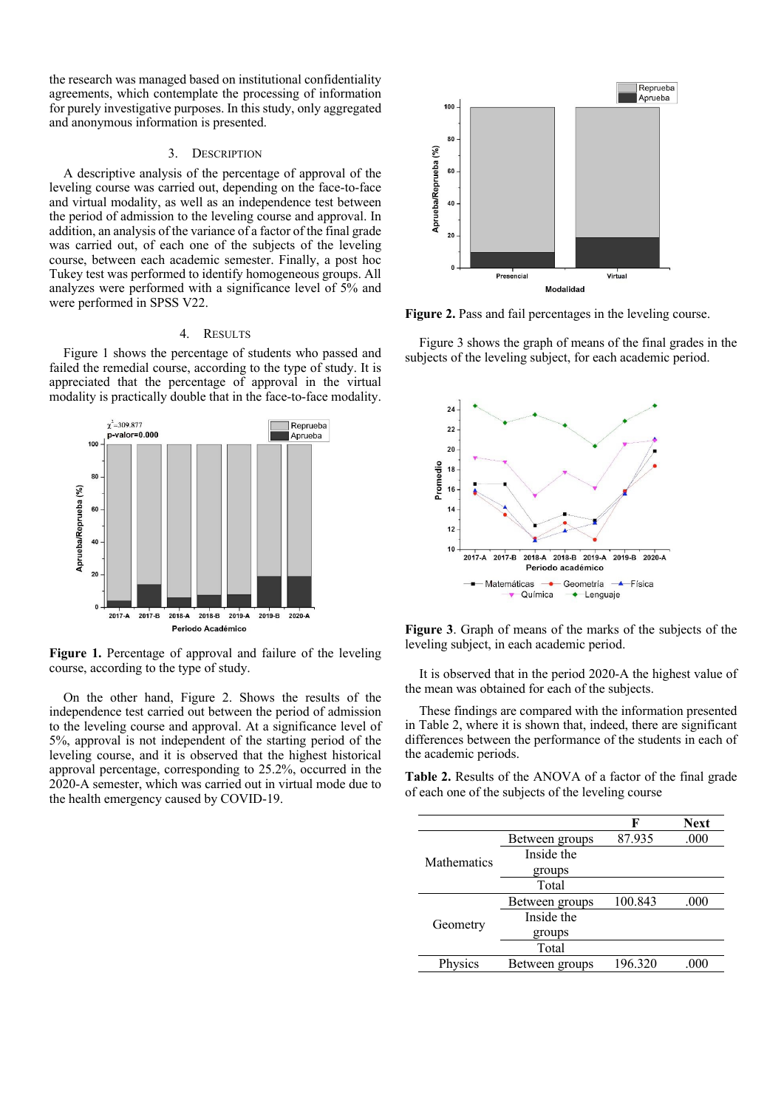the research was managed based on institutional confidentiality agreements, which contemplate the processing of information for purely investigative purposes. In this study, only aggregated and anonymous information is presented.

## 3. DESCRIPTION

A descriptive analysis of the percentage of approval of the leveling course was carried out, depending on the face-to-face and virtual modality, as well as an independence test between the period of admission to the leveling course and approval. In addition, an analysis of the variance of a factor of the final grade was carried out, of each one of the subjects of the leveling course, between each academic semester. Finally, a post hoc Tukey test was performed to identify homogeneous groups. All analyzes were performed with a significance level of 5% and were performed in SPSS V22.

## 4. RESULTS

Figure 1 shows the percentage of students who passed and failed the remedial course, according to the type of study. It is appreciated that the percentage of approval in the virtual modality is practically double that in the face-to-face modality.



**Figure 1.** Percentage of approval and failure of the leveling course, according to the type of study.

On the other hand, Figure 2. Shows the results of the independence test carried out between the period of admission to the leveling course and approval. At a significance level of 5%, approval is not independent of the starting period of the leveling course, and it is observed that the highest historical approval percentage, corresponding to 25.2%, occurred in the 2020-A semester, which was carried out in virtual mode due to the health emergency caused by COVID-19.



**Figure 2.** Pass and fail percentages in the leveling course.

Figure 3 shows the graph of means of the final grades in the subjects of the leveling subject, for each academic period.



**Figure 3**. Graph of means of the marks of the subjects of the leveling subject, in each academic period.

It is observed that in the period 2020-A the highest value of the mean was obtained for each of the subjects.

These findings are compared with the information presented in Table 2, where it is shown that, indeed, there are significant differences between the performance of the students in each of the academic periods.

**Table 2.** Results of the ANOVA of a factor of the final grade of each one of the subjects of the leveling course

|             |                | F       | <b>Next</b> |
|-------------|----------------|---------|-------------|
|             | Between groups | 87.935  | .000        |
| Mathematics | Inside the     |         |             |
|             | groups         |         |             |
|             | Total          |         |             |
|             | Between groups | 100.843 | .000        |
|             | Inside the     |         |             |
| Geometry    | groups         |         |             |
|             | Total          |         |             |
| Physics     | Between groups | 196.320 | .000        |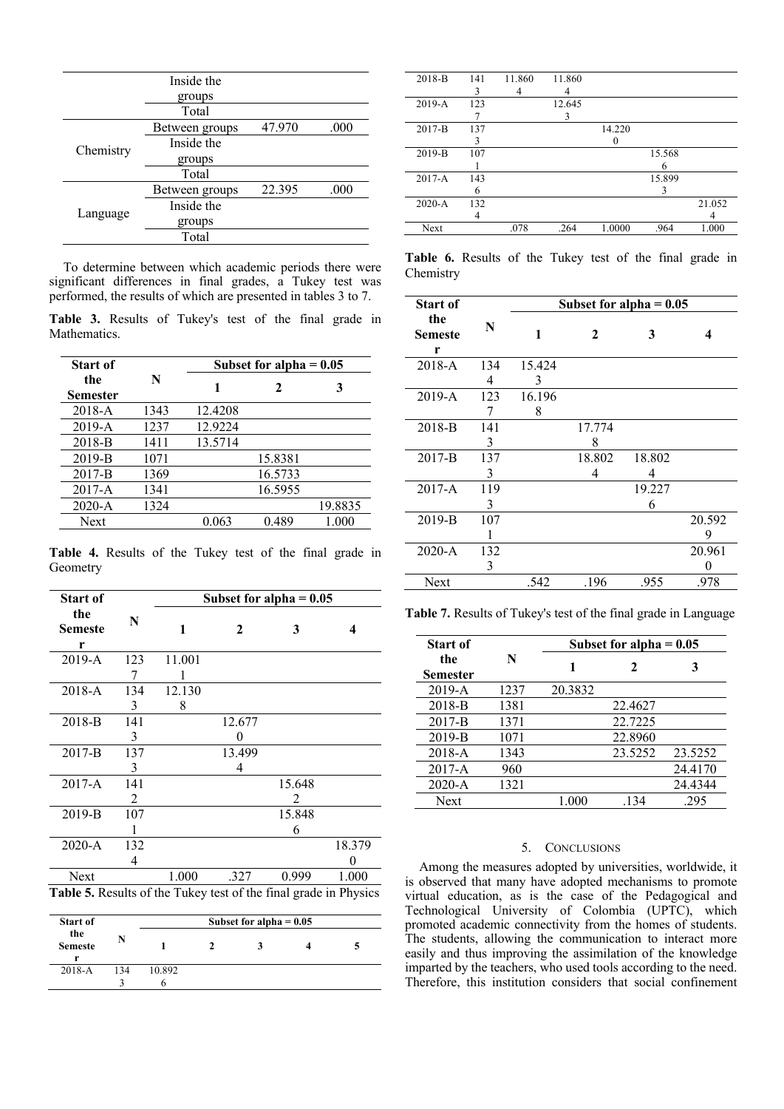|           | Inside the     |        |      |
|-----------|----------------|--------|------|
|           | groups         |        |      |
|           | Total          |        |      |
|           | Between groups | 47.970 | .000 |
| Chemistry | Inside the     |        |      |
|           | groups         |        |      |
|           | Total          |        |      |
|           | Between groups | 22.395 | .000 |
| Language  | Inside the     |        |      |
|           | groups         |        |      |
|           | Total          |        |      |

To determine between which academic periods there were significant differences in final grades, a Tukey test was performed, the results of which are presented in tables 3 to 7.

**Table 3.** Results of Tukey's test of the final grade in Mathematics.

| <b>Start of</b>        |      |         | Subset for alpha $= 0.05$ |         |
|------------------------|------|---------|---------------------------|---------|
| the<br><b>Semester</b> | N    |         | 2                         | 3       |
| $2018 - A$             | 1343 | 12.4208 |                           |         |
| $2019 - A$             | 1237 | 12.9224 |                           |         |
| 2018-B                 | 1411 | 13.5714 |                           |         |
| 2019-B                 | 1071 |         | 15.8381                   |         |
| 2017-B                 | 1369 |         | 16.5733                   |         |
| $2017 - A$             | 1341 |         | 16.5955                   |         |
| $2020 - A$             | 1324 |         |                           | 19.8835 |
| <b>Next</b>            |      | 0.063   | 0.489                     | 1.000   |

**Table 4.** Results of the Tukey test of the final grade in Geometry

| <b>Start of</b>                                                  |               |        | Subset for alpha $= 0.05$ |                             |        |
|------------------------------------------------------------------|---------------|--------|---------------------------|-----------------------------|--------|
| the<br>Semeste<br>r                                              | N             | 1      | 2                         | 3                           | 4      |
| $2019 - A$                                                       | 123           | 11.001 |                           |                             |        |
|                                                                  | 7             |        |                           |                             |        |
| $2018 - A$                                                       | 134           | 12.130 |                           |                             |        |
|                                                                  | 3             | 8      |                           |                             |        |
| 2018-B                                                           | 141           |        | 12.677                    |                             |        |
|                                                                  | 3             |        |                           |                             |        |
| $2017-B$                                                         | 137           |        | 13.499                    |                             |        |
|                                                                  | 3             |        | 4                         |                             |        |
| $2017 - A$                                                       | 141           |        |                           | 15.648                      |        |
|                                                                  | $\mathcal{L}$ |        |                           | $\mathcal{D}_{\mathcal{A}}$ |        |
| 2019-B                                                           | 107           |        |                           | 15.848                      |        |
|                                                                  |               |        |                           | 6                           |        |
| 2020-A                                                           | 132           |        |                           |                             | 18.379 |
|                                                                  | 4             |        |                           |                             | 0      |
| Next                                                             |               | 1.000  | .327                      | 0.999                       | 1.000  |
| Table 5. Results of the Tukey test of the final grade in Physics |               |        |                           |                             |        |

| <b>Start of</b>            |     |        | Subset for alpha $= 0.05$ |  |
|----------------------------|-----|--------|---------------------------|--|
| the<br><b>Semeste</b><br>r | N   |        |                           |  |
| $2018 - A$                 | 134 | 10.892 |                           |  |
|                            |     |        |                           |  |

| 2018-B     | 141 | 11.860 | 11.860 |        |        |        |
|------------|-----|--------|--------|--------|--------|--------|
|            | 3   |        |        |        |        |        |
| $2019 - A$ | 123 |        | 12.645 |        |        |        |
|            |     |        | 3      |        |        |        |
| 2017-B     | 137 |        |        | 14.220 |        |        |
|            | 3   |        |        |        |        |        |
| $2019-B$   | 107 |        |        |        | 15.568 |        |
|            |     |        |        |        | h      |        |
| 2017-A     | 143 |        |        |        | 15.899 |        |
|            | 6   |        |        |        | 3      |        |
| $2020 - A$ | 132 |        |        |        |        | 21.052 |
|            | 4   |        |        |        |        |        |
| Next       |     | .078   | .264   | 1.0000 | .964   | 1.000  |
|            |     |        |        |        |        |        |

**Table 6.** Results of the Tukey test of the final grade in Chemistry

| <b>Start of</b>     |     |        | Subset for alpha $= 0.05$ |        |        |
|---------------------|-----|--------|---------------------------|--------|--------|
| the<br>Semeste<br>r | N   | 1      | $\mathbf{2}$              | 3      | 4      |
| 2018-A              | 134 | 15.424 |                           |        |        |
|                     | 4   | 3      |                           |        |        |
| 2019-A              | 123 | 16.196 |                           |        |        |
|                     | 7   | 8      |                           |        |        |
| $2018-B$            | 141 |        | 17.774                    |        |        |
|                     | 3   |        | 8                         |        |        |
| $2017-B$            | 137 |        | 18.802                    | 18.802 |        |
|                     | 3   |        | 4                         | 4      |        |
| $2017 - A$          | 119 |        |                           | 19.227 |        |
|                     | 3   |        |                           | 6      |        |
| $2019-B$            | 107 |        |                           |        | 20.592 |
|                     |     |        |                           |        | 9      |
| $2020 - A$          | 132 |        |                           |        | 20.961 |
|                     | 3   |        |                           |        | 0      |
| Next                |     | .542   | .196                      | .955   | .978   |

**Table 7.** Results of Tukey's test of the final grade in Language

| <b>Start of</b>        |      | Subset for alpha $= 0.05$ |         |         |  |  |
|------------------------|------|---------------------------|---------|---------|--|--|
| the<br><b>Semester</b> | N    |                           | 2       | 3       |  |  |
| $2019 - A$             | 1237 | 20.3832                   |         |         |  |  |
| 2018-B                 | 1381 |                           | 22.4627 |         |  |  |
| $2017 - B$             | 1371 |                           | 22.7225 |         |  |  |
| 2019-B                 | 1071 |                           | 22.8960 |         |  |  |
| $2018 - A$             | 1343 |                           | 23.5252 | 23.5252 |  |  |
| $2017-A$               | 960  |                           |         | 24.4170 |  |  |
| $2020 - A$             | 1321 |                           |         | 24.4344 |  |  |
| Next                   |      | 1.000                     | .134    | .295    |  |  |

# 5. CONCLUSIONS

Among the measures adopted by universities, worldwide, it is observed that many have adopted mechanisms to promote virtual education, as is the case of the Pedagogical and Technological University of Colombia (UPTC), which promoted academic connectivity from the homes of students. The students, allowing the communication to interact more easily and thus improving the assimilation of the knowledge imparted by the teachers, who used tools according to the need. Therefore, this institution considers that social confinement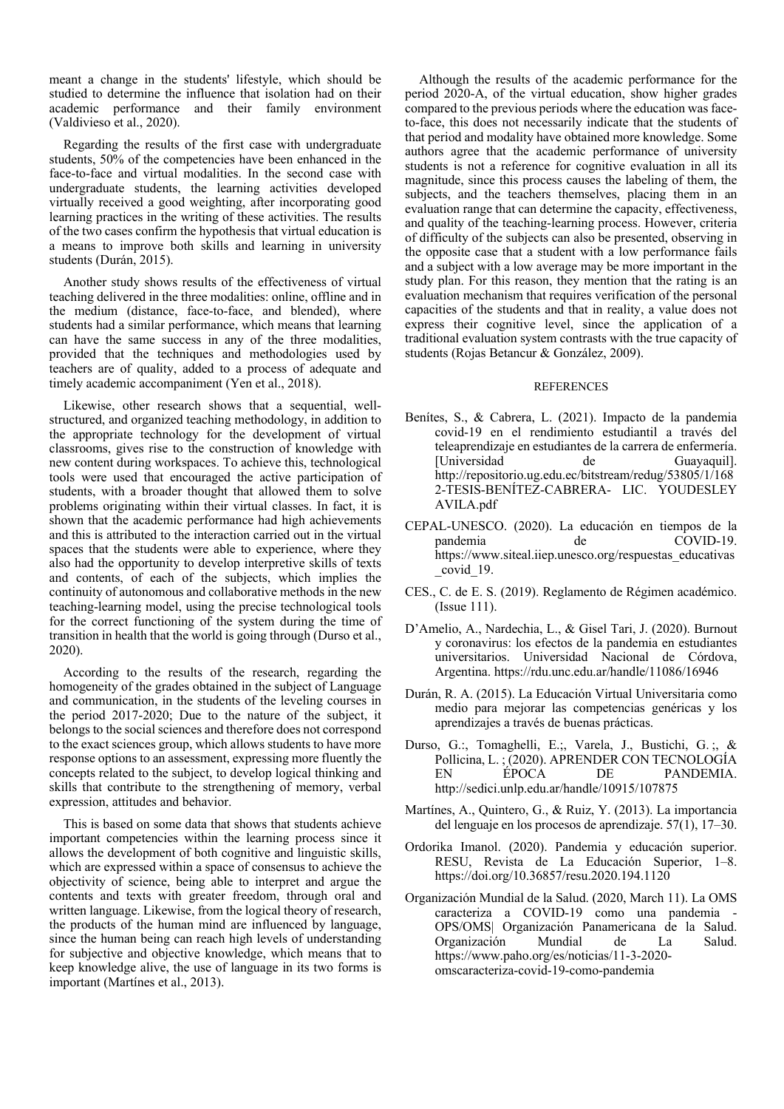meant a change in the students' lifestyle, which should be studied to determine the influence that isolation had on their academic performance and their family environment (Valdivieso et al., 2020).

Regarding the results of the first case with undergraduate students, 50% of the competencies have been enhanced in the face-to-face and virtual modalities. In the second case with undergraduate students, the learning activities developed virtually received a good weighting, after incorporating good learning practices in the writing of these activities. The results of the two cases confirm the hypothesis that virtual education is a means to improve both skills and learning in university students (Durán, 2015).

Another study shows results of the effectiveness of virtual teaching delivered in the three modalities: online, offline and in the medium (distance, face-to-face, and blended), where students had a similar performance, which means that learning can have the same success in any of the three modalities, provided that the techniques and methodologies used by teachers are of quality, added to a process of adequate and timely academic accompaniment (Yen et al., 2018).

Likewise, other research shows that a sequential, wellstructured, and organized teaching methodology, in addition to the appropriate technology for the development of virtual classrooms, gives rise to the construction of knowledge with new content during workspaces. To achieve this, technological tools were used that encouraged the active participation of students, with a broader thought that allowed them to solve problems originating within their virtual classes. In fact, it is shown that the academic performance had high achievements and this is attributed to the interaction carried out in the virtual spaces that the students were able to experience, where they also had the opportunity to develop interpretive skills of texts and contents, of each of the subjects, which implies the continuity of autonomous and collaborative methods in the new teaching-learning model, using the precise technological tools for the correct functioning of the system during the time of transition in health that the world is going through (Durso et al., 2020).

According to the results of the research, regarding the homogeneity of the grades obtained in the subject of Language and communication, in the students of the leveling courses in the period 2017-2020; Due to the nature of the subject, it belongs to the social sciences and therefore does not correspond to the exact sciences group, which allows students to have more response options to an assessment, expressing more fluently the concepts related to the subject, to develop logical thinking and skills that contribute to the strengthening of memory, verbal expression, attitudes and behavior.

This is based on some data that shows that students achieve important competencies within the learning process since it allows the development of both cognitive and linguistic skills, which are expressed within a space of consensus to achieve the objectivity of science, being able to interpret and argue the contents and texts with greater freedom, through oral and written language. Likewise, from the logical theory of research, the products of the human mind are influenced by language, since the human being can reach high levels of understanding for subjective and objective knowledge, which means that to keep knowledge alive, the use of language in its two forms is important (Martínes et al., 2013).

Although the results of the academic performance for the period 2020-A, of the virtual education, show higher grades compared to the previous periods where the education was faceto-face, this does not necessarily indicate that the students of that period and modality have obtained more knowledge. Some authors agree that the academic performance of university students is not a reference for cognitive evaluation in all its magnitude, since this process causes the labeling of them, the subjects, and the teachers themselves, placing them in an evaluation range that can determine the capacity, effectiveness, and quality of the teaching-learning process. However, criteria of difficulty of the subjects can also be presented, observing in the opposite case that a student with a low performance fails and a subject with a low average may be more important in the study plan. For this reason, they mention that the rating is an evaluation mechanism that requires verification of the personal capacities of the students and that in reality, a value does not express their cognitive level, since the application of a traditional evaluation system contrasts with the true capacity of students (Rojas Betancur & González, 2009).

### **REFERENCES**

- Benítes, S., & Cabrera, L. (2021). Impacto de la pandemia covid-19 en el rendimiento estudiantil a través del teleaprendizaje en estudiantes de la carrera de enfermería. [Universidad de Guayaquil]. http://repositorio.ug.edu.ec/bitstream/redug/53805/1/168 2-TESIS-BENÍTEZ-CABRERA- LIC. YOUDESLEY AVILA.pdf
- CEPAL-UNESCO. (2020). La educación en tiempos de la pandemia de COVID-19. https://www.siteal.iiep.unesco.org/respuestas\_educativas \_covid\_19.
- CES., C. de E. S. (2019). Reglamento de Régimen académico. (Issue 111).
- D'Amelio, A., Nardechia, L., & Gisel Tari, J. (2020). Burnout y coronavirus: los efectos de la pandemia en estudiantes universitarios. Universidad Nacional de Córdova, Argentina. https://rdu.unc.edu.ar/handle/11086/16946
- Durán, R. A. (2015). La Educación Virtual Universitaria como medio para mejorar las competencias genéricas y los aprendizajes a través de buenas prácticas.
- Durso, G.:, Tomaghelli, E.;, Varela, J., Bustichi, G. ;, & Pollicina, L. ; (2020). APRENDER CON TECNOLOGÍA<br>EN ÉPOCA DE PANDEMIA. DE PANDEMIA. http://sedici.unlp.edu.ar/handle/10915/107875
- Martínes, A., Quintero, G., & Ruiz, Y. (2013). La importancia del lenguaje en los procesos de aprendizaje. 57(1), 17–30.
- Ordorika Imanol. (2020). Pandemia y educación superior. RESU, Revista de La Educación Superior, 1–8. https://doi.org/10.36857/resu.2020.194.1120
- Organización Mundial de la Salud. (2020, March 11). La OMS caracteriza a COVID-19 como una pandemia - OPS/OMS| Organización Panamericana de la Salud. Organización Mundial de La Salud. https://www.paho.org/es/noticias/11-3-2020 omscaracteriza-covid-19-como-pandemia